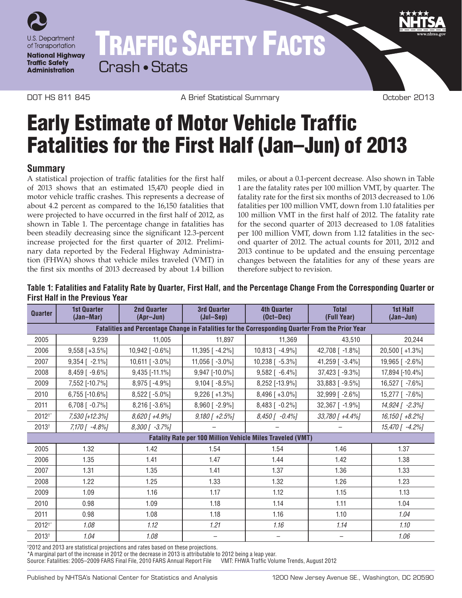

## TRAFFIC SAFETY FACTS Crash • Stats

DOT HS 811 845 A Brief Statistical Summary October 2013

# Early Estimate of Motor Vehicle Traffic Fatalities for the First Half (Jan–Jun) of 2013

## **Summary**

A statistical projection of traffic fatalities for the first half of 2013 shows that an estimated 15,470 people died in motor vehicle traffic crashes. This represents a decrease of about 4.2 percent as compared to the 16,150 fatalities that were projected to have occurred in the first half of 2012, as shown in Table 1. The percentage change in fatalities has been steadily decreasing since the significant 12.3-percent increase projected for the first quarter of 2012. Preliminary data reported by the Federal Highway Administration (FHWA) shows that vehicle miles traveled (VMT) in the first six months of 2013 decreased by about 1.4 billion

miles, or about a 0.1-percent decrease. Also shown in Table 1 are the fatality rates per 100 million VMT, by quarter. The fatality rate for the first six months of 2013 decreased to 1.06 fatalities per 100 million VMT, down from 1.10 fatalities per 100 million VMT in the first half of 2012. The fatality rate for the second quarter of 2013 decreased to 1.08 fatalities per 100 million VMT, down from 1.12 fatalities in the second quarter of 2012. The actual counts for 2011, 2012 and 2013 continue to be updated and the ensuing percentage changes between the fatalities for any of these years are therefore subject to revision.

#### **Quarter 1st Quarter (Jan–Mar) 2nd Quarter (Apr–Jun) 3rd Quarter (Jul–Sep) 4th Quarter (Oct–Dec) Total (Full Year) 1st Half (Jan–Jun) Fatalities and Percentage Change in Fatalities for the Corresponding Quarter From the Prior Year** 2005 9,239 11,005 11,897 11,369 43,510 20,244 2006 9,558 [ +3.5%] 10,942 [ -0.6%] 11,395 [ -4.2%] 10,813 [ -4.9%] 42,708 [ -1.8%] 20,500 [ +1.3%] 2007 9,354 [ -2.1%] 10,611 [ -3.0%] 11,056 [ -3.0%] 10,238 [ -5.3%] 41,259 [ -3.4%] 19,965 [ -2.6%] 2008 8,459 [ -9.6%] 9,435 [-11.1%] 9,947 [-10.0%] 9,582 [ -6.4%] 37,423 [ -9.3%] 17,894 [-10.4%] 2009 7,552 [-10.7%] 8,975 [ -4.9%] 9,104 [ -8.5%] 8,252 [-13.9%] 33,883 [ -9.5%] 16,527 [ -7.6%] 2010 6,755 [-10.6%] 8,522 [ -5.0%] 9,226 [ +1.3%] 8,496 [ +3.0%] 32,999 [ -2.6%] 15,277 [ -7.6%] 2011 6,708 [ -0.7%] 8,216 [ -3.6%] 8,960 [ -2.9%] 8,483 [ -0.2%] 32,367 [ -1.9%] *14,924 [ -2.3%]* 2012†\* *7,530 [+12.3%] 8,620 [ +4.9%] 9,180 [ +2.5%] 8,450 [ -0.4%] 33,780 [ +4.4%] 16,150 [ +8.2%]* 2013† *7,170 [ -4.8%] 8,300 [ -3.7%] – – – 15,470 [ -4.2%]* **Fatality Rate per 100 Million Vehicle Miles Traveled (VMT)** 2005 1.32 1.42 1.54 1.54 1.46 1.37 2006 1.35 1.41 1.47 1.44 1.42 1.38 2007 1.31 1.35 1.41 1.37 1.36 1.33 2008 1.22 1.25 1.33 1.32 1.26 1.23 2009 1.09 1.16 1.17 1.12 1.15 1.13 2010 | 0.98 | 1.09 | 1.18 | 1.14 | 1.11 | 1.04 2011 **0.98 1.08 1.18 1.16 1.16 1.10** 1.10 1*.04* 2012†\* *1.08 1.12 1.21 1.16 1.14 1.10* 2013† *1.04 1.08 – – – 1.06*

**Table 1: Fatalities and Fatality Rate by Quarter, First Half, and the Percentage Change From the Corresponding Quarter or First Half in the Previous Year**

† 2012 and 2013 are statistical projections and rates based on these projections.

\*A marginal part of the increase in 2012 or the decrease in 2013 is attributable to 2012 being a leap year. Source: Fatalities: 2005–2009 FARS Final File, 2010 FARS Annual Report File